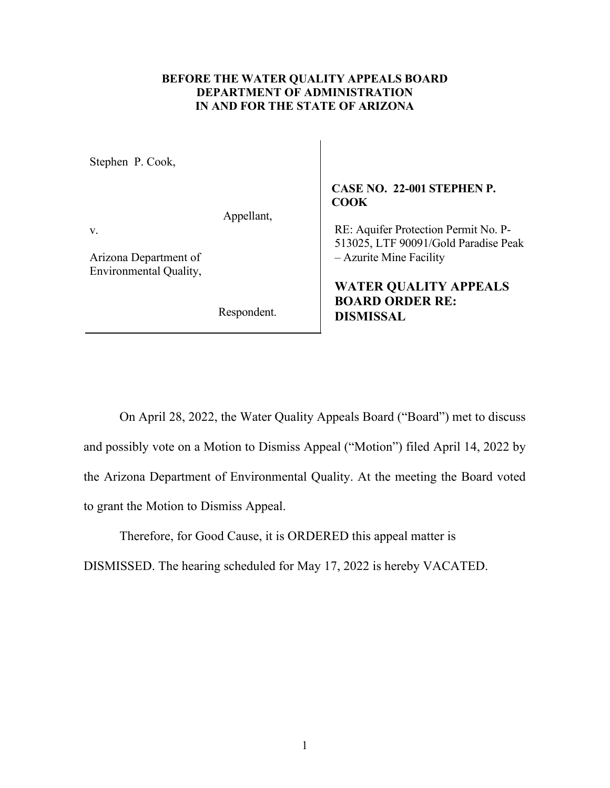## **BEFORE THE WATER QUALITY APPEALS BOARD DEPARTMENT OF ADMINISTRATION IN AND FOR THE STATE OF ARIZONA**

Stephen P. Cook,

Appellant,

v.

Arizona Department of Environmental Quality,

Respondent.

## **CASE NO. 22-001 STEPHEN P. COOK**

RE: Aquifer Protection Permit No. P-513025, LTF 90091/Gold Paradise Peak – Azurite Mine Facility

**WATER QUALITY APPEALS BOARD ORDER RE: DISMISSAL** 

On April 28, 2022, the Water Quality Appeals Board ("Board") met to discuss and possibly vote on a Motion to Dismiss Appeal ("Motion") filed April 14, 2022 by the Arizona Department of Environmental Quality. At the meeting the Board voted to grant the Motion to Dismiss Appeal.

Therefore, for Good Cause, it is ORDERED this appeal matter is

DISMISSED. The hearing scheduled for May 17, 2022 is hereby VACATED.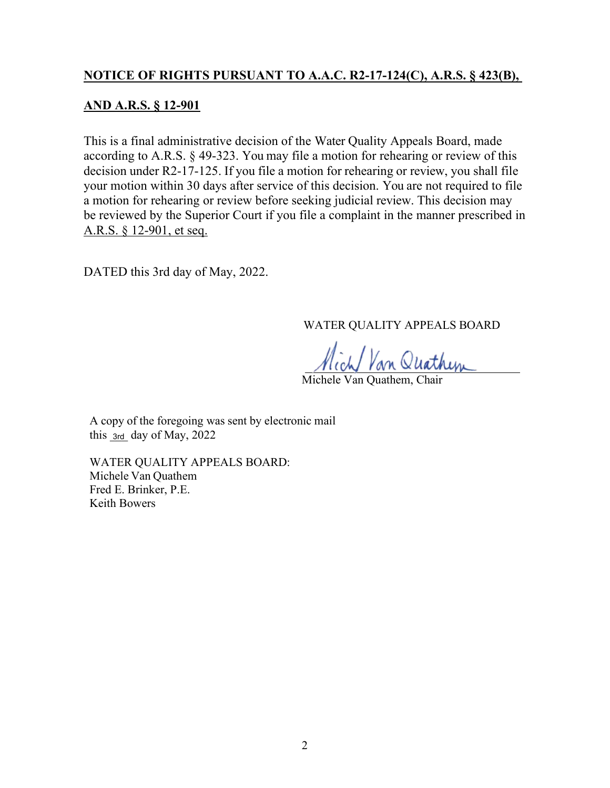## **NOTICE OF RIGHTS PURSUANT TO A.A.C. R2-17-124(C), A.R.S. § 423(B),**

## **AND A.R.S. § 12-901**

This is a final administrative decision of the Water Quality Appeals Board, made according to A.R.S. § 49-323. You may file a motion for rehearing or review of this decision under R2-17-125. If you file a motion for rehearing or review, you shall file your motion within 30 days after service of this decision. You are not required to file a motion for rehearing or review before seeking judicial review. This decision may be reviewed by the Superior Court if you file a complaint in the manner prescribed in A.R.S. § 12-901, et seq.

DATED this 3rd day of May, 2022.

WATER QUALITY APPEALS BOARD

Michele Van Quathem, Chair

A copy of the foregoing was sent by electronic mail this  $_{3rd}$  day of May, 2022

WATER QUALITY APPEALS BOARD: Michele Van Quathem Fred E. Brinker, P.E. Keith Bowers